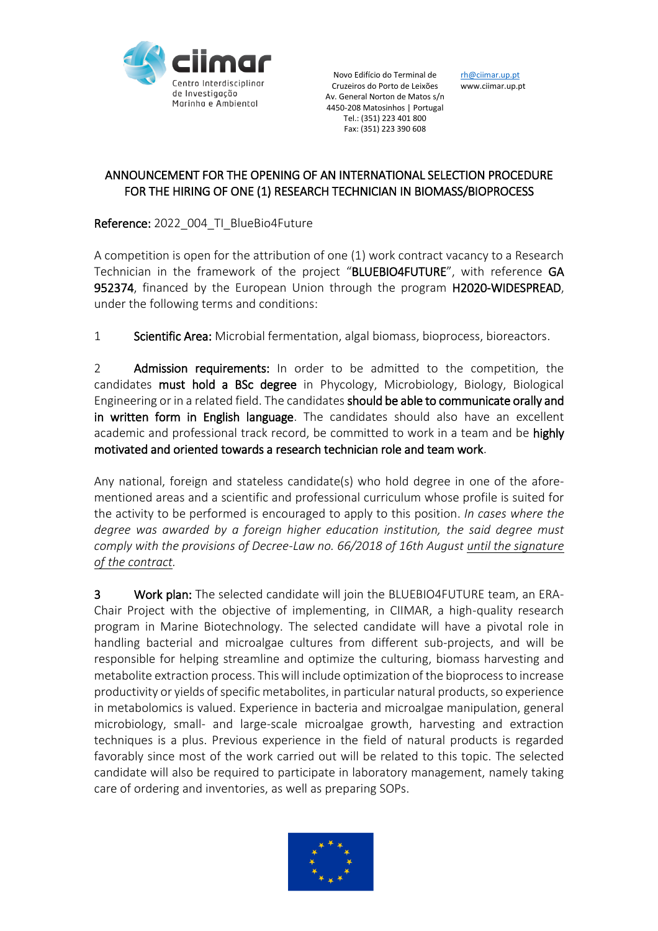

Novo Edifício do Terminal de Cruzeiros do Porto de Leixões Av. General Norton de Matos s/n 4450-208 Matosinhos | Portugal Tel.: (351) 223 401 800 Fax: (351) 223 390 608

r[h@ciimar.up.pt](mailto:secretariado@ciimar.up.pt) www.ciimar.up.pt

## ANNOUNCEMENT FOR THE OPENING OF AN INTERNATIONAL SELECTION PROCEDURE FOR THE HIRING OF ONE (1) RESEARCH TECHNICIAN IN BIOMASS/BIOPROCESS

Reference: 2022\_004\_TI\_BlueBio4Future

A competition is open for the attribution of one (1) work contract vacancy to a Research Technician in the framework of the project "BLUEBIO4FUTURE", with reference GA 952374, financed by the European Union through the program H2020-WIDESPREAD, under the following terms and conditions:

1 Scientific Area: Microbial fermentation, algal biomass, bioprocess, bioreactors.

2 **Admission requirements:** In order to be admitted to the competition, the candidates must hold a BSc degree in Phycology, Microbiology, Biology, Biological Engineering or in a related field. The candidates should be able to communicate orally and in written form in English language. The candidates should also have an excellent academic and professional track record, be committed to work in a team and be highly motivated and oriented towards a research technician role and team work.

Any national, foreign and stateless candidate(s) who hold degree in one of the aforementioned areas and a scientific and professional curriculum whose profile is suited for the activity to be performed is encouraged to apply to this position. *In cases where the degree was awarded by a foreign higher education institution, the said degree must comply with the provisions of Decree-Law no. 66/2018 of 16th August until the signature of the contract.* 

3 Work plan: The selected candidate will join the BLUEBIO4FUTURE team, an ERA-Chair Project with the objective of implementing, in CIIMAR, a high-quality research program in Marine Biotechnology. The selected candidate will have a pivotal role in handling bacterial and microalgae cultures from different sub-projects, and will be responsible for helping streamline and optimize the culturing, biomass harvesting and metabolite extraction process. This will include optimization of the bioprocess to increase productivity or yields of specific metabolites, in particular natural products, so experience in metabolomics is valued. Experience in bacteria and microalgae manipulation, general microbiology, small- and large-scale microalgae growth, harvesting and extraction techniques is a plus. Previous experience in the field of natural products is regarded favorably since most of the work carried out will be related to this topic. The selected candidate will also be required to participate in laboratory management, namely taking care of ordering and inventories, as well as preparing SOPs.

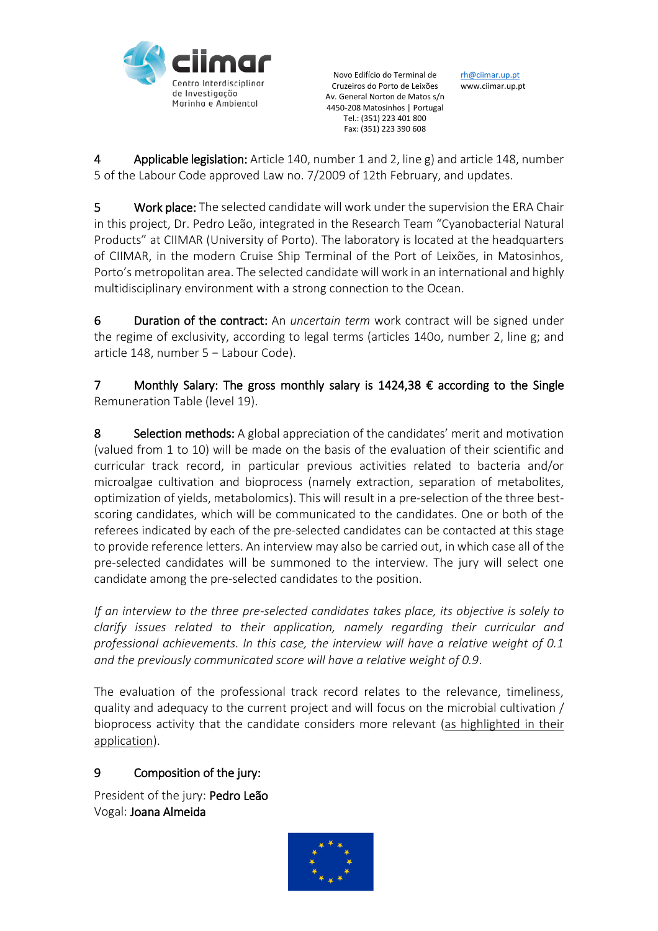

Novo Edifício do Terminal de Cruzeiros do Porto de Leixões Av. General Norton de Matos s/n 4450-208 Matosinhos | Portugal Tel.: (351) 223 401 800 Fax: (351) 223 390 608

r[h@ciimar.up.pt](mailto:secretariado@ciimar.up.pt) www.ciimar.up.pt

4 Applicable legislation: Article 140, number 1 and 2, line g) and article 148, number 5 of the Labour Code approved Law no. 7/2009 of 12th February, and updates.

5 Work place: The selected candidate will work under the supervision the ERA Chair in this project, Dr. Pedro Leão, integrated in the Research Team "Cyanobacterial Natural Products" at CIIMAR (University of Porto). The laboratory is located at the headquarters of CIIMAR, in the modern Cruise Ship Terminal of the Port of Leixões, in Matosinhos, Porto's metropolitan area. The selected candidate will work in an international and highly multidisciplinary environment with a strong connection to the Ocean.

6 Duration of the contract: An *uncertain term* work contract will be signed under the regime of exclusivity, according to legal terms (articles 140o, number 2, line g; and article 148, number 5 − Labour Code).

7 Monthly Salary: The gross monthly salary is 1424,38 € according to the Single Remuneration Table (level 19).

8 Selection methods: A global appreciation of the candidates' merit and motivation (valued from 1 to 10) will be made on the basis of the evaluation of their scientific and curricular track record, in particular previous activities related to bacteria and/or microalgae cultivation and bioprocess (namely extraction, separation of metabolites, optimization of yields, metabolomics). This will result in a pre-selection of the three bestscoring candidates, which will be communicated to the candidates. One or both of the referees indicated by each of the pre-selected candidates can be contacted at this stage to provide reference letters. An interview may also be carried out, in which case all of the pre-selected candidates will be summoned to the interview. The jury will select one candidate among the pre-selected candidates to the position.

*If an interview to the three pre-selected candidates takes place, its objective is solely to clarify issues related to their application, namely regarding their curricular and professional achievements. In this case, the interview will have a relative weight of 0.1 and the previously communicated score will have a relative weight of 0.9*.

The evaluation of the professional track record relates to the relevance, timeliness, quality and adequacy to the current project and will focus on the microbial cultivation / bioprocess activity that the candidate considers more relevant (as highlighted in their application).

## 9 Composition of the jury:

President of the jury: Pedro Leão Vogal: Joana Almeida